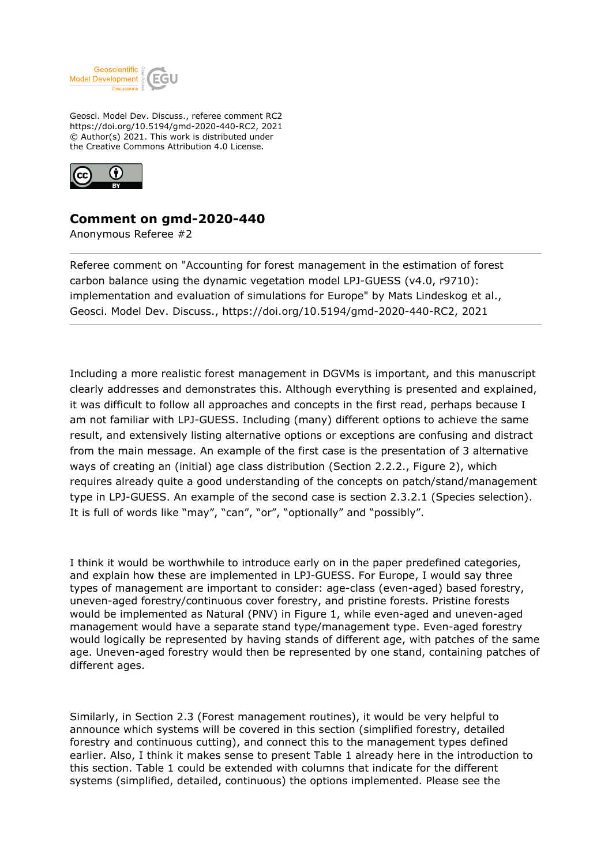

Geosci. Model Dev. Discuss., referee comment RC2 https://doi.org/10.5194/gmd-2020-440-RC2, 2021 © Author(s) 2021. This work is distributed under the Creative Commons Attribution 4.0 License.



## **Comment on gmd-2020-440**

Anonymous Referee #2

Referee comment on "Accounting for forest management in the estimation of forest carbon balance using the dynamic vegetation model LPJ-GUESS (v4.0, r9710): implementation and evaluation of simulations for Europe" by Mats Lindeskog et al., Geosci. Model Dev. Discuss., https://doi.org/10.5194/gmd-2020-440-RC2, 2021

Including a more realistic forest management in DGVMs is important, and this manuscript clearly addresses and demonstrates this. Although everything is presented and explained, it was difficult to follow all approaches and concepts in the first read, perhaps because I am not familiar with LPJ-GUESS. Including (many) different options to achieve the same result, and extensively listing alternative options or exceptions are confusing and distract from the main message. An example of the first case is the presentation of 3 alternative ways of creating an (initial) age class distribution (Section 2.2.2., Figure 2), which requires already quite a good understanding of the concepts on patch/stand/management type in LPJ-GUESS. An example of the second case is section 2.3.2.1 (Species selection). It is full of words like "may", "can", "or", "optionally" and "possibly".

I think it would be worthwhile to introduce early on in the paper predefined categories, and explain how these are implemented in LPJ-GUESS. For Europe, I would say three types of management are important to consider: age-class (even-aged) based forestry, uneven-aged forestry/continuous cover forestry, and pristine forests. Pristine forests would be implemented as Natural (PNV) in Figure 1, while even-aged and uneven-aged management would have a separate stand type/management type. Even-aged forestry would logically be represented by having stands of different age, with patches of the same age. Uneven-aged forestry would then be represented by one stand, containing patches of different ages.

Similarly, in Section 2.3 (Forest management routines), it would be very helpful to announce which systems will be covered in this section (simplified forestry, detailed forestry and continuous cutting), and connect this to the management types defined earlier. Also, I think it makes sense to present Table 1 already here in the introduction to this section. Table 1 could be extended with columns that indicate for the different systems (simplified, detailed, continuous) the options implemented. Please see the